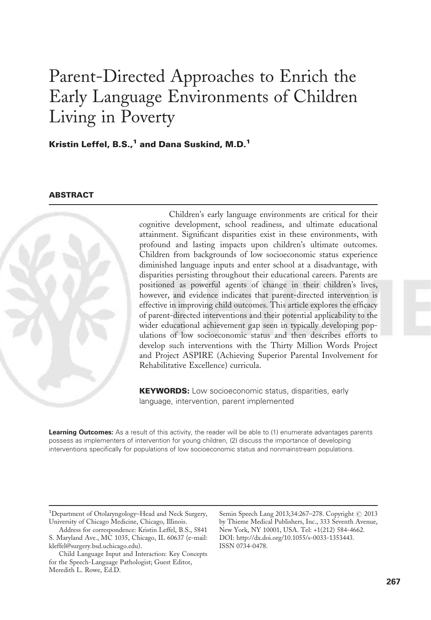# Parent-Directed Approaches to Enrich the Early Language Environments of Children Living in Poverty

Kristin Leffel, B.S., $1$  and Dana Suskind, M.D. $1$ 

# **ABSTRACT**



Children's early language environments are critical for their cognitive development, school readiness, and ultimate educational attainment. Significant disparities exist in these environments, with profound and lasting impacts upon children's ultimate outcomes. Children from backgrounds of low socioeconomic status experience diminished language inputs and enter school at a disadvantage, with disparities persisting throughout their educational careers. Parents are positioned as powerful agents of change in their children's lives, however, and evidence indicates that parent-directed intervention is effective in improving child outcomes. This article explores the efficacy of parent-directed interventions and their potential applicability to the wider educational achievement gap seen in typically developing populations of low socioeconomic status and then describes efforts to develop such interventions with the Thirty Million Words Project and Project ASPIRE (Achieving Superior Parental Involvement for Rehabilitative Excellence) curricula.

**KEYWORDS:** Low socioeconomic status, disparities, early language, intervention, parent implemented

Learning Outcomes: As a result of this activity, the reader will be able to (1) enumerate advantages parents possess as implementers of intervention for young children, (2) discuss the importance of developing interventions specifically for populations of low socioeconomic status and nonmainstream populations.

<sup>1</sup>Department of Otolaryngology-Head and Neck Surgery, University of Chicago Medicine, Chicago, Illinois.

Semin Speech Lang 2013;34:267-278. Copyright © 2013 by Thieme Medical Publishers, Inc., 333 Seventh Avenue, New York, NY 10001, USA. Tel: +1(212) 584-4662. DOI:<http://dx.doi.org/10.1055/s-0033-1353443>. ISSN 0734-0478.

Address for correspondence: Kristin Leffel, B.S., 5841 S. Maryland Ave., MC 1035, Chicago, IL 60637 (e-mail: [kleffel@surgery.bsd.uchicago.edu\)](mailto:).

Child Language Input and Interaction: Key Concepts for the Speech-Language Pathologist; Guest Editor, Meredith L. Rowe, Ed.D.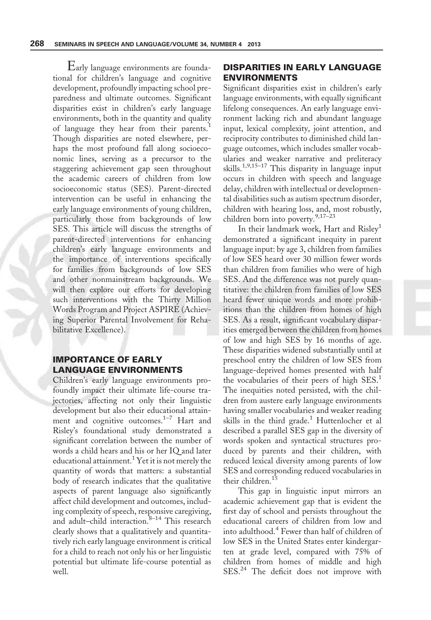Early language environments are foundational for children's language and cognitive development, profoundly impacting school preparedness and ultimate outcomes. Significant disparities exist in children's early language environments, both in the quantity and quality of language they hear from their parents.<sup>1</sup> Though disparities are noted elsewhere, perhaps the most profound fall along socioeconomic lines, serving as a precursor to the staggering achievement gap seen throughout the academic careers of children from low socioeconomic status (SES). Parent-directed intervention can be useful in enhancing the early language environments of young children, particularly those from backgrounds of low SES. This article will discuss the strengths of parent-directed interventions for enhancing children's early language environments and the importance of interventions specifically for families from backgrounds of low SES and other nonmainstream backgrounds. We will then explore our efforts for developing such interventions with the Thirty Million Words Program and Project ASPIRE (Achieving Superior Parental Involvement for Rehabilitative Excellence).

# IMPORTANCE OF EARLY LANGUAGE ENVIRONMENTS

Children's early language environments profoundly impact their ultimate life-course trajectories, affecting not only their linguistic development but also their educational attainment and cognitive outcomes.<sup>1-7</sup> Hart and Risley's foundational study demonstrated a significant correlation between the number of words a child hears and his or her IQ and later educational attainment.<sup>1</sup> Yet it is not merely the quantity of words that matters: a substantial body of research indicates that the qualitative aspects of parent language also significantly affect child development and outcomes, including complexity of speech, responsive caregiving, and adult-child interaction.<sup>8-14</sup> This research clearly shows that a qualitatively and quantitatively rich early language environment is critical for a child to reach not only his or her linguistic potential but ultimate life-course potential as well.

# DISPARITIES IN EARLY LANGUAGE ENVIRONMENTS

Significant disparities exist in children's early language environments, with equally significant lifelong consequences. An early language environment lacking rich and abundant language input, lexical complexity, joint attention, and reciprocity contributes to diminished child language outcomes, which includes smaller vocabularies and weaker narrative and preliteracy skills.<sup>1,9,15–17</sup> This disparity in language input occurs in children with speech and language delay, children with intellectual or developmental disabilities such as autism spectrum disorder, children with hearing loss, and, most robustly, children born into poverty.<sup>9,17-23</sup>

In their landmark work, Hart and Risley<sup>1</sup> demonstrated a significant inequity in parent language input: by age 3, children from families of low SES heard over 30 million fewer words than children from families who were of high SES. And the difference was not purely quantitative: the children from families of low SES heard fewer unique words and more prohibitions than the children from homes of high SES. As a result, significant vocabulary disparities emerged between the children from homes of low and high SES by 16 months of age. These disparities widened substantially until at preschool entry the children of low SES from language-deprived homes presented with half the vocabularies of their peers of high SES.<sup>1</sup> The inequities noted persisted, with the children from austere early language environments having smaller vocabularies and weaker reading skills in the third grade.<sup>1</sup> Huttenlocher et al described a parallel SES gap in the diversity of words spoken and syntactical structures produced by parents and their children, with reduced lexical diversity among parents of low SES and corresponding reduced vocabularies in their children.<sup>15</sup>

This gap in linguistic input mirrors an academic achievement gap that is evident the first day of school and persists throughout the educational careers of children from low and into adulthood.<sup>4</sup> Fewer than half of children of low SES in the United States enter kindergarten at grade level, compared with 75% of children from homes of middle and high SES.<sup>24</sup> The deficit does not improve with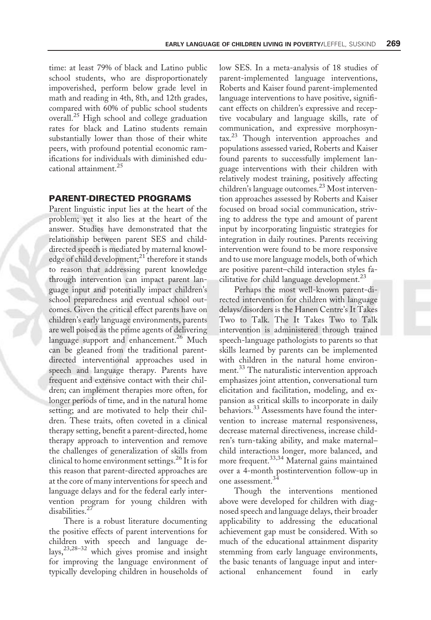time: at least 79% of black and Latino public school students, who are disproportionately impoverished, perform below grade level in math and reading in 4th, 8th, and 12th grades, compared with 60% of public school students overall.<sup>25</sup> High school and college graduation rates for black and Latino students remain substantially lower than those of their white peers, with profound potential economic ramifications for individuals with diminished educational attainment.<sup>25</sup>

### PARENT-DIRECTED PROGRAMS

Parent linguistic input lies at the heart of the problem; yet it also lies at the heart of the answer. Studies have demonstrated that the relationship between parent SES and childdirected speech is mediated by maternal knowledge of child development; $^{21}$  therefore it stands to reason that addressing parent knowledge through intervention can impact parent language input and potentially impact children's school preparedness and eventual school outcomes. Given the critical effect parents have on children's early language environments, parents are well poised as the prime agents of delivering language support and enhancement.<sup>26</sup> Much can be gleaned from the traditional parentdirected interventional approaches used in speech and language therapy. Parents have frequent and extensive contact with their children; can implement therapies more often, for longer periods of time, and in the natural home setting; and are motivated to help their children. These traits, often coveted in a clinical therapy setting, benefit a parent-directed, home therapy approach to intervention and remove the challenges of generalization of skills from clinical to home environment settings.<sup>26</sup> It is for this reason that parent-directed approaches are at the core of many interventions for speech and language delays and for the federal early intervention program for young children with disabilities.<sup>27</sup>

There is a robust literature documenting the positive effects of parent interventions for children with speech and language delays,23,28–32 which gives promise and insight for improving the language environment of typically developing children in households of low SES. In a meta-analysis of 18 studies of parent-implemented language interventions, Roberts and Kaiser found parent-implemented language interventions to have positive, significant effects on children's expressive and receptive vocabulary and language skills, rate of communication, and expressive morphosyntax.<sup>23</sup> Though intervention approaches and populations assessed varied, Roberts and Kaiser found parents to successfully implement language interventions with their children with relatively modest training, positively affecting children's language outcomes.<sup>23</sup> Most intervention approaches assessed by Roberts and Kaiser focused on broad social communication, striving to address the type and amount of parent input by incorporating linguistic strategies for integration in daily routines. Parents receiving intervention were found to be more responsive and to use more language models, both of which are positive parent–child interaction styles facilitative for child language development.<sup>23</sup>

Perhaps the most well-known parent-directed intervention for children with language delays/disorders is the Hanen Centre's It Takes Two to Talk. The It Takes Two to Talk intervention is administered through trained speech-language pathologists to parents so that skills learned by parents can be implemented with children in the natural home environment.<sup>33</sup> The naturalistic intervention approach emphasizes joint attention, conversational turn elicitation and facilitation, modeling, and expansion as critical skills to incorporate in daily behaviors.<sup>33</sup> Assessments have found the intervention to increase maternal responsiveness, decrease maternal directiveness, increase children's turn-taking ability, and make maternal– child interactions longer, more balanced, and more frequent.33,34 Maternal gains maintained over a 4-month postintervention follow-up in one assessment.<sup>34</sup>

Though the interventions mentioned above were developed for children with diagnosed speech and language delays, their broader applicability to addressing the educational achievement gap must be considered. With so much of the educational attainment disparity stemming from early language environments, the basic tenants of language input and interactional enhancement found in early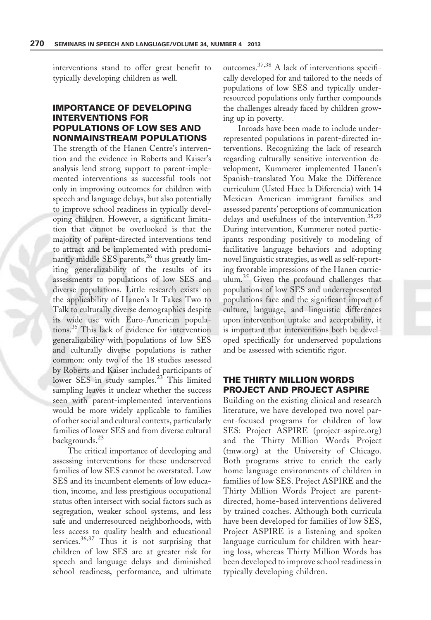interventions stand to offer great benefit to typically developing children as well.

# IMPORTANCE OF DEVELOPING INTERVENTIONS FOR POPULATIONS OF LOW SES AND NONMAINSTREAM POPULATIONS

The strength of the Hanen Centre's intervention and the evidence in Roberts and Kaiser's analysis lend strong support to parent-implemented interventions as successful tools not only in improving outcomes for children with speech and language delays, but also potentially to improve school readiness in typically developing children. However, a significant limitation that cannot be overlooked is that the majority of parent-directed interventions tend to attract and be implemented with predominantly middle SES parents, $^{26}$  thus greatly limiting generalizability of the results of its assessments to populations of low SES and diverse populations. Little research exists on the applicability of Hanen's It Takes Two to Talk to culturally diverse demographics despite its wide use with Euro-American populations.<sup>35</sup> This lack of evidence for intervention generalizability with populations of low SES and culturally diverse populations is rather common: only two of the 18 studies assessed by Roberts and Kaiser included participants of lower SES in study samples.<sup>23</sup> This limited sampling leaves it unclear whether the success seen with parent-implemented interventions would be more widely applicable to families of other social and cultural contexts, particularly families of lower SES and from diverse cultural backgrounds.<sup>23</sup>

The critical importance of developing and assessing interventions for these underserved families of low SES cannot be overstated. Low SES and its incumbent elements of low education, income, and less prestigious occupational status often intersect with social factors such as segregation, weaker school systems, and less safe and underresourced neighborhoods, with less access to quality health and educational services.<sup>36,37</sup> Thus it is not surprising that children of low SES are at greater risk for speech and language delays and diminished school readiness, performance, and ultimate outcomes.37,38 A lack of interventions specifically developed for and tailored to the needs of populations of low SES and typically underresourced populations only further compounds the challenges already faced by children growing up in poverty.

Inroads have been made to include underrepresented populations in parent-directed interventions. Recognizing the lack of research regarding culturally sensitive intervention development, Kummerer implemented Hanen's Spanish-translated You Make the Difference curriculum (Usted Hace la Diferencia) with 14 Mexican American immigrant families and assessed parents' perceptions of communication delays and usefulness of the intervention.<sup>35,39</sup> During intervention, Kummerer noted participants responding positively to modeling of facilitative language behaviors and adopting novel linguistic strategies, as well as self-reporting favorable impressions of the Hanen curriculum.<sup>35</sup> Given the profound challenges that populations of low SES and underrepresented populations face and the significant impact of culture, language, and linguistic differences upon intervention uptake and acceptability, it is important that interventions both be developed specifically for underserved populations and be assessed with scientific rigor.

## THE THIRTY MILLION WORDS PROJECT AND PROJECT ASPIRE

Building on the existing clinical and research literature, we have developed two novel parent-focused programs for children of low SES: Project ASPIRE (project-aspire.org) and the Thirty Million Words Project (tmw.org) at the University of Chicago. Both programs strive to enrich the early home language environments of children in families of low SES. Project ASPIRE and the Thirty Million Words Project are parentdirected, home-based interventions delivered by trained coaches. Although both curricula have been developed for families of low SES, Project ASPIRE is a listening and spoken language curriculum for children with hearing loss, whereas Thirty Million Words has been developed to improve school readiness in typically developing children.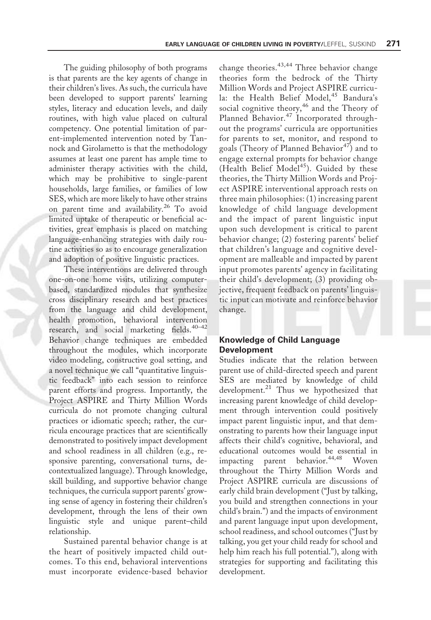The guiding philosophy of both programs is that parents are the key agents of change in their children's lives. As such, the curricula have been developed to support parents' learning styles, literacy and education levels, and daily routines, with high value placed on cultural competency. One potential limitation of parent-implemented intervention noted by Tannock and Girolametto is that the methodology assumes at least one parent has ample time to administer therapy activities with the child, which may be prohibitive to single-parent households, large families, or families of low SES, which are more likely to have other strains on parent time and availability.<sup>26</sup> To avoid limited uptake of therapeutic or beneficial activities, great emphasis is placed on matching language-enhancing strategies with daily routine activities so as to encourage generalization and adoption of positive linguistic practices.

These interventions are delivered through one-on-one home visits, utilizing computerbased, standardized modules that synthesize cross disciplinary research and best practices from the language and child development, health promotion, behavioral intervention research, and social marketing fields.<sup>40-42</sup> Behavior change techniques are embedded throughout the modules, which incorporate video modeling, constructive goal setting, and a novel technique we call "quantitative linguistic feedback" into each session to reinforce parent efforts and progress. Importantly, the Project ASPIRE and Thirty Million Words curricula do not promote changing cultural practices or idiomatic speech; rather, the curricula encourage practices that are scientifically demonstrated to positively impact development and school readiness in all children (e.g., responsive parenting, conversational turns, decontextualized language). Through knowledge, skill building, and supportive behavior change techniques, the curricula support parents' growing sense of agency in fostering their children's development, through the lens of their own linguistic style and unique parent–child relationship.

Sustained parental behavior change is at the heart of positively impacted child outcomes. To this end, behavioral interventions must incorporate evidence-based behavior

change theories. $43,44$  Three behavior change theories form the bedrock of the Thirty Million Words and Project ASPIRE curricula: the Health Belief Model,<sup>45</sup> Bandura's social cognitive theory,<sup>46</sup> and the Theory of Planned Behavior.<sup>47</sup> Incorporated throughout the programs' curricula are opportunities for parents to set, monitor, and respond to goals (Theory of Planned Behavior<sup>47</sup>) and to engage external prompts for behavior change (Health Belief Model<sup>45</sup>). Guided by these theories, the Thirty Million Words and Project ASPIRE interventional approach rests on three main philosophies: (1) increasing parent knowledge of child language development and the impact of parent linguistic input upon such development is critical to parent behavior change; (2) fostering parents' belief that children's language and cognitive development are malleable and impacted by parent input promotes parents' agency in facilitating their child's development; (3) providing objective, frequent feedback on parents' linguistic input can motivate and reinforce behavior change.

## Knowledge of Child Language Development

Studies indicate that the relation between parent use of child-directed speech and parent SES are mediated by knowledge of child development.<sup>21</sup> Thus we hypothesized that increasing parent knowledge of child development through intervention could positively impact parent linguistic input, and that demonstrating to parents how their language input affects their child's cognitive, behavioral, and educational outcomes would be essential in impacting parent behavior.<sup>44,48</sup> Woven throughout the Thirty Million Words and Project ASPIRE curricula are discussions of early child brain development ("Just by talking, you build and strengthen connections in your child's brain.") and the impacts of environment and parent language input upon development, school readiness, and school outcomes ("Just by talking, you get your child ready for school and help him reach his full potential."), along with strategies for supporting and facilitating this development.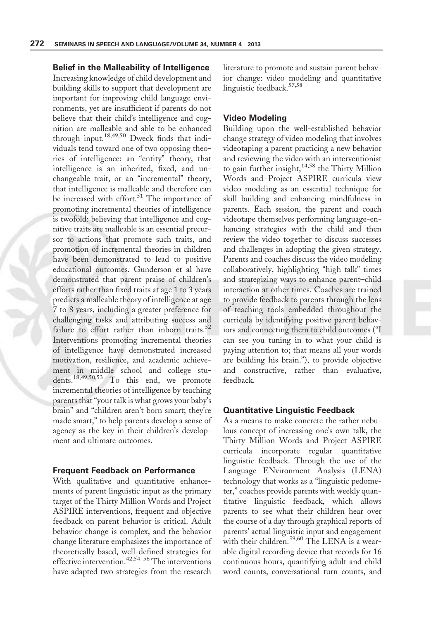Belief in the Malleability of Intelligence Increasing knowledge of child development and building skills to support that development are important for improving child language environments, yet are insufficient if parents do not believe that their child's intelligence and cognition are malleable and able to be enhanced through input.18,49,50 Dweck finds that individuals tend toward one of two opposing theories of intelligence: an "entity" theory, that intelligence is an inherited, fixed, and unchangeable trait, or an "incremental" theory, that intelligence is malleable and therefore can be increased with effort.<sup>51</sup> The importance of promoting incremental theories of intelligence is twofold: believing that intelligence and cognitive traits are malleable is an essential precursor to actions that promote such traits, and promotion of incremental theories in children have been demonstrated to lead to positive educational outcomes. Gunderson et al have demonstrated that parent praise of children's efforts rather than fixed traits at age 1 to 3 years predicts a malleable theory of intelligence at age 7 to 8 years, including a greater preference for challenging tasks and attributing success and failure to effort rather than inborn traits. $52$ Interventions promoting incremental theories of intelligence have demonstrated increased motivation, resilience, and academic achievement in middle school and college students.18,49,50,53 To this end, we promote incremental theories of intelligence by teaching parents that "your talk is what grows your baby's brain" and "children aren't born smart; they're made smart," to help parents develop a sense of agency as the key in their children's development and ultimate outcomes.

### Frequent Feedback on Performance

With qualitative and quantitative enhancements of parent linguistic input as the primary target of the Thirty Million Words and Project ASPIRE interventions, frequent and objective feedback on parent behavior is critical. Adult behavior change is complex, and the behavior change literature emphasizes the importance of theoretically based, well-defined strategies for effective intervention.<sup>42,54–56</sup> The interventions have adapted two strategies from the research

literature to promote and sustain parent behavior change: video modeling and quantitative linguistic feedback.<sup>57,58</sup>

#### Video Modeling

Building upon the well-established behavior change strategy of video modeling that involves videotaping a parent practicing a new behavior and reviewing the video with an interventionist to gain further insight, $14,58$  the Thirty Million Words and Project ASPIRE curricula view video modeling as an essential technique for skill building and enhancing mindfulness in parents. Each session, the parent and coach videotape themselves performing language-enhancing strategies with the child and then review the video together to discuss successes and challenges in adopting the given strategy. Parents and coaches discuss the video modeling collaboratively, highlighting "high talk" times and strategizing ways to enhance parent–child interaction at other times. Coaches are trained to provide feedback to parents through the lens of teaching tools embedded throughout the curricula by identifying positive parent behaviors and connecting them to child outcomes ("I can see you tuning in to what your child is paying attention to; that means all your words are building his brain."), to provide objective and constructive, rather than evaluative, feedback.

# Quantitative Linguistic Feedback

As a means to make concrete the rather nebulous concept of increasing one's own talk, the Thirty Million Words and Project ASPIRE curricula incorporate regular quantitative linguistic feedback. Through the use of the Language ENvironment Analysis (LENA) technology that works as a "linguistic pedometer," coaches provide parents with weekly quantitative linguistic feedback, which allows parents to see what their children hear over the course of a day through graphical reports of parents' actual linguistic input and engagement with their children.<sup>59,60</sup> The LENA is a wearable digital recording device that records for 16 continuous hours, quantifying adult and child word counts, conversational turn counts, and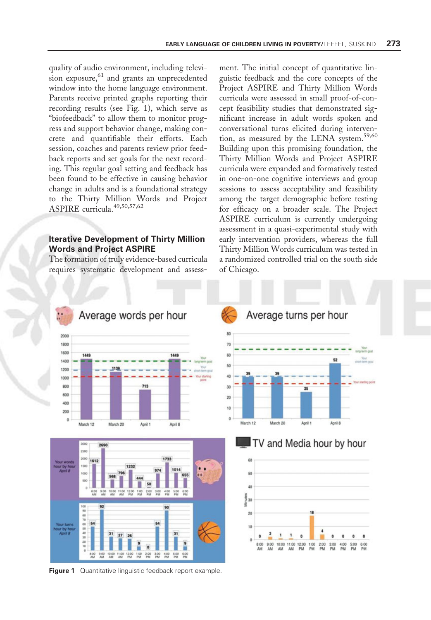quality of audio environment, including television exposure,<sup>61</sup> and grants an unprecedented window into the home language environment. Parents receive printed graphs reporting their recording results (see Fig. 1), which serve as "biofeedback" to allow them to monitor progress and support behavior change, making concrete and quantifiable their efforts. Each session, coaches and parents review prior feedback reports and set goals for the next recording. This regular goal setting and feedback has been found to be effective in causing behavior change in adults and is a foundational strategy to the Thirty Million Words and Project ASPIRE curricula.49,50,57,62

## Iterative Development of Thirty Million Words and Project ASPIRE

The formation of truly evidence-based curricula requires systematic development and assess-

ment. The initial concept of quantitative linguistic feedback and the core concepts of the Project ASPIRE and Thirty Million Words curricula were assessed in small proof-of-concept feasibility studies that demonstrated significant increase in adult words spoken and conversational turns elicited during intervention, as measured by the LENA system.<sup>59,60</sup> Building upon this promising foundation, the Thirty Million Words and Project ASPIRE curricula were expanded and formatively tested in one-on-one cognitive interviews and group sessions to assess acceptability and feasibility among the target demographic before testing for efficacy on a broader scale. The Project ASPIRE curriculum is currently undergoing assessment in a quasi-experimental study with early intervention providers, whereas the full Thirty Million Words curriculum was tested in a randomized controlled trial on the south side of Chicago.

52

April 8

2.00<br>PM 3:00



**Figure 1** Quantitative linguistic feedback report example.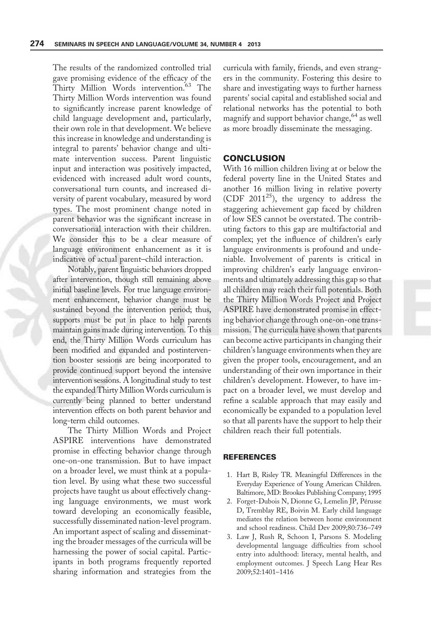The results of the randomized controlled trial gave promising evidence of the efficacy of the Thirty Million Words intervention.<sup>63</sup> The Thirty Million Words intervention was found to significantly increase parent knowledge of child language development and, particularly, their own role in that development. We believe this increase in knowledge and understanding is integral to parents' behavior change and ultimate intervention success. Parent linguistic input and interaction was positively impacted, evidenced with increased adult word counts, conversational turn counts, and increased diversity of parent vocabulary, measured by word types. The most prominent change noted in parent behavior was the significant increase in conversational interaction with their children. We consider this to be a clear measure of language environment enhancement as it is indicative of actual parent–child interaction.

Notably, parent linguistic behaviors dropped after intervention, though still remaining above initial baseline levels. For true language environment enhancement, behavior change must be sustained beyond the intervention period; thus, supports must be put in place to help parents maintain gains made during intervention. To this end, the Thirty Million Words curriculum has been modified and expanded and postintervention booster sessions are being incorporated to provide continued support beyond the intensive intervention sessions. A longitudinal study to test the expanded Thirty MillionWords curriculum is currently being planned to better understand intervention effects on both parent behavior and long-term child outcomes.

The Thirty Million Words and Project ASPIRE interventions have demonstrated promise in effecting behavior change through one-on-one transmission. But to have impact on a broader level, we must think at a population level. By using what these two successful projects have taught us about effectively changing language environments, we must work toward developing an economically feasible, successfully disseminated nation-level program. An important aspect of scaling and disseminating the broader messages of the curricula will be harnessing the power of social capital. Participants in both programs frequently reported sharing information and strategies from the curricula with family, friends, and even strangers in the community. Fostering this desire to share and investigating ways to further harness parents' social capital and established social and relational networks has the potential to both magnify and support behavior change,  $64$  as well as more broadly disseminate the messaging.

#### **CONCLUSION**

With 16 million children living at or below the federal poverty line in the United States and another 16 million living in relative poverty (CDF 2011<sup>25</sup>), the urgency to address the staggering achievement gap faced by children of low SES cannot be overstated. The contributing factors to this gap are multifactorial and complex; yet the influence of children's early language environments is profound and undeniable. Involvement of parents is critical in improving children's early language environments and ultimately addressing this gap so that all children may reach their full potentials. Both the Thirty Million Words Project and Project ASPIRE have demonstrated promise in effecting behavior change through one-on-one transmission. The curricula have shown that parents can become active participants in changing their children's language environments when they are given the proper tools, encouragement, and an understanding of their own importance in their children's development. However, to have impact on a broader level, we must develop and refine a scalable approach that may easily and economically be expanded to a population level so that all parents have the support to help their children reach their full potentials.

#### **REFERENCES**

- 1. Hart B, Risley TR. Meaningful Differences in the Everyday Experience of Young American Children. Baltimore, MD: Brookes Publishing Company; 1995
- 2. Forget-Dubois N, Dionne G, Lemelin JP, Pérusse D, Tremblay RE, Boivin M. Early child language mediates the relation between home environment and school readiness. Child Dev 2009;80:736–749
- 3. Law J, Rush R, Schoon I, Parsons S. Modeling developmental language difficulties from school entry into adulthood: literacy, mental health, and employment outcomes. J Speech Lang Hear Res 2009;52:1401–1416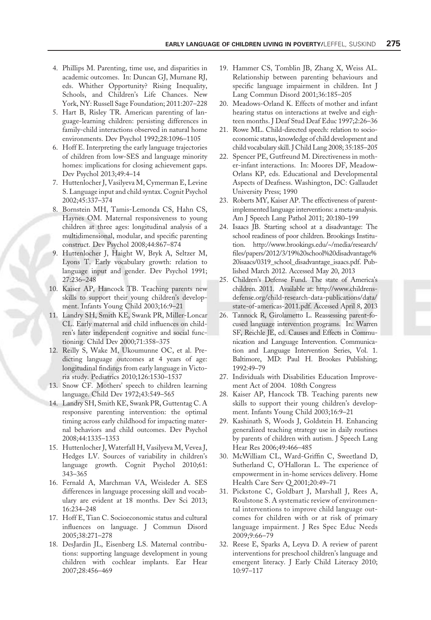- 4. Phillips M. Parenting, time use, and disparities in academic outcomes. In: Duncan GJ, Murnane RJ, eds. Whither Opportunity? Rising Inequality, Schools, and Children's Life Chances. New York, NY: Russell Sage Foundation; 2011:207–228
- 5. Hart B, Risley TR. American parenting of language-learning children: persisting differences in family-child interactions observed in natural home environments. Dev Psychol 1992;28:1096–1105
- 6. Hoff E. Interpreting the early language trajectories of children from low-SES and language minority homes: implications for closing achievement gaps. Dev Psychol 2013;49:4–14
- 7. Huttenlocher J, Vasilyeva M, Cymerman E, Levine S. Language input and child syntax. Cognit Psychol 2002;45:337–374
- 8. Bornstein MH, Tamis-Lemonda CS, Hahn CS, Haynes OM. Maternal responsiveness to young children at three ages: longitudinal analysis of a multidimensional, modular, and specific parenting construct. Dev Psychol 2008;44:867–874
- 9. Huttenlocher J, Haight W, Bryk A, Seltzer M, Lyons T. Early vocabulary growth: relation to language input and gender. Dev Psychol 1991; 27:236–248
- 10. Kaiser AP, Hancock TB. Teaching parents new skills to support their young children's development. Infants Young Child 2003;16:9–21
- 11. Landry SH, Smith KE, Swank PR, Miller-Loncar CL. Early maternal and child influences on children's later independent cognitive and social functioning. Child Dev 2000;71:358–375
- 12. Reilly S, Wake M, Ukoumunne OC, et al. Predicting language outcomes at 4 years of age: longitudinal findings from early language in Victoria study. Pediatrics 2010;126:1530–1537
- 13. Snow CF. Mothers' speech to children learning language. Child Dev 1972;43:549–565
- 14. Landry SH, Smith KE, Swank PR, Guttentag C. A responsive parenting intervention: the optimal timing across early childhood for impacting maternal behaviors and child outcomes. Dev Psychol 2008;44:1335–1353
- 15. Huttenlocher J, Waterfall H, Vasilyeva M, Vevea J, Hedges LV. Sources of variability in children's language growth. Cognit Psychol 2010;61: 343–365
- 16. Fernald A, Marchman VA, Weisleder A. SES differences in language processing skill and vocabulary are evident at 18 months. Dev Sci 2013; 16:234–248
- 17. Hoff E, Tian C. Socioeconomic status and cultural influences on language. J Commun Disord 2005;38:271–278
- 18. DesJardin JL, Eisenberg LS. Maternal contributions: supporting language development in young children with cochlear implants. Ear Hear 2007;28:456–469
- 19. Hammer CS, Tomblin JB, Zhang X, Weiss AL. Relationship between parenting behaviours and specific language impairment in children. Int J Lang Commun Disord 2001;36:185–205
- 20. Meadows-Orland K. Effects of mother and infant hearing status on interactions at twelve and eighteen months. J Deaf Stud Deaf Educ 1997;2:26–36
- 21. Rowe ML. Child-directed speech: relation to socioeconomic status, knowledge of child development and child vocabulary skill. J Child Lang 2008; 35:185–205
- 22. Spencer PE, Gutfreund M. Directiveness in mother-infant interactions. In: Moores DF, Meadow-Orlans KP, eds. Educational and Developmental Aspects of Deafness. Washington, DC: Gallaudet University Press; 1990
- 23. Roberts MY, Kaiser AP. The effectiveness of parentimplemented language interventions: a meta-analysis. Am J Speech Lang Pathol 2011; 20:180–199
- 24. Isaacs JB. Starting school at a disadvantage: The school readiness of poor children. Brookings Institution. [http://www.brookings.edu/~/media/research/](http://www.brookings.edu/~/media/research/files/papers/2012/3/19%20school%20disadvantage%20isaacs/0319_school_disadvantage_isaacs.pdf) [files/papers/2012/3/19%20school%20disadvantage%](http://www.brookings.edu/~/media/research/files/papers/2012/3/19%20school%20disadvantage%20isaacs/0319_school_disadvantage_isaacs.pdf) [20isaacs/0319\\_school\\_disadvantage\\_isaacs.pdf.](http://www.brookings.edu/~/media/research/files/papers/2012/3/19%20school%20disadvantage%20isaacs/0319_school_disadvantage_isaacs.pdf) Published March 2012. Accessed May 20, 2013
- 25. Children's Defense Fund. The state of America's children. 2011. Available at: [http://www.childrens](http://www.childrensdefense.org/child-research-data-publications/data/state-of-americas-2011.pdf)[defense.org/child-research-data-publications/data/](http://www.childrensdefense.org/child-research-data-publications/data/state-of-americas-2011.pdf) [state-of-americas-2011.pdf](http://www.childrensdefense.org/child-research-data-publications/data/state-of-americas-2011.pdf). Accessed April 8, 2013
- 26. Tannock R, Girolametto L. Reassessing parent-focused language intervention programs. In: Warren SF, Reichle JE, ed. Causes and Effects in Communication and Language Intervention. Communication and Language Intervention Series, Vol. 1. Baltimore, MD: Paul H. Brookes Publishing; 1992:49–79
- 27. Individuals with Disabilities Education Improvement Act of 2004. 108th Congress
- 28. Kaiser AP, Hancock TB. Teaching parents new skills to support their young children's development. Infants Young Child 2003;16:9–21
- 29. Kashinath S, Woods J, Goldstein H. Enhancing generalized teaching strategy use in daily routines by parents of children with autism. J Speech Lang Hear Res 2006;49:466–485
- 30. McWilliam CL, Ward-Griffin C, Sweetland D, Sutherland C, O'Halloran L. The experience of empowerment in in-home services delivery. Home Health Care Serv Q 2001;20:49–71
- 31. Pickstone C, Goldbart J, Marshall J, Rees A, Roulstone S. A systematic review of environmental interventions to improve child language outcomes for children with or at risk of primary language impairment. J Res Spec Educ Needs 2009;9:66–79
- 32. Reese E, Sparks A, Leyva D. A review of parent interventions for preschool children's language and emergent literacy. J Early Child Literacy 2010; 10:97–117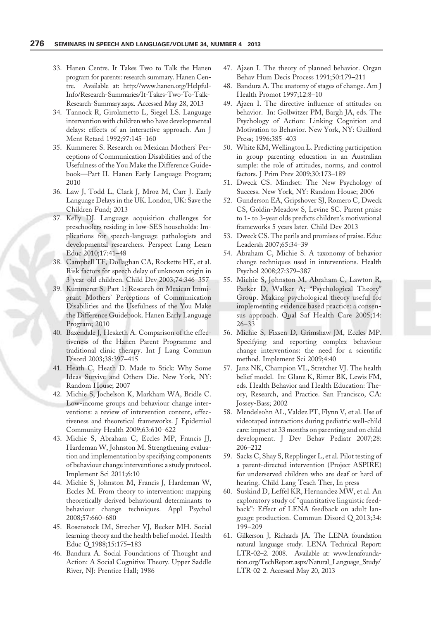- 33. Hanen Centre. It Takes Two to Talk the Hanen program for parents: research summary. Hanen Centre. Available at: [http://www.hanen.org/Helpful-](http://www.hanen.org/Helpful-Info/Research-Summaries/It-Takes-Two-To-Talk-Research-Summary.aspx)[Info/Research-Summaries/It-Takes-Two-To-Talk-](http://www.hanen.org/Helpful-Info/Research-Summaries/It-Takes-Two-To-Talk-Research-Summary.aspx)[Research-Summary.aspx](http://www.hanen.org/Helpful-Info/Research-Summaries/It-Takes-Two-To-Talk-Research-Summary.aspx). Accessed May 28, 2013
- 34. Tannock R, Girolametto L, Siegel LS. Language intervention with children who have developmental delays: effects of an interactive approach. Am J Ment Retard 1992;97:145–160
- 35. Kummerer S. Research on Mexican Mothers' Perceptions of Communication Disabilities and of the Usefulness of the You Make the Difference Guidebook—Part II. Hanen Early Language Program; 2010
- 36. Law J, Todd L, Clark J, Mroz M, Carr J. Early Language Delays in the UK. London, UK: Save the Children Fund; 2013
- 37. Kelly DJ. Language acquisition challenges for preschoolers residing in low-SES households: Implications for speech-language pathologists and developmental researchers. Perspect Lang Learn Educ 2010;17:41–48
- 38. Campbell TF, Dollaghan CA, Rockette HE, et al. Risk factors for speech delay of unknown origin in 3-year-old children. Child Dev 2003;74:346–357
- 39. Kummerer S. Part 1: Research on Mexican Immigrant Mothers' Perceptions of Communication Disabilities and the Usefulness of the You Make the Difference Guidebook. Hanen Early Language Program; 2010
- 40. Baxendale J, Hesketh A. Comparison of the effectiveness of the Hanen Parent Programme and traditional clinic therapy. Int J Lang Commun Disord 2003;38:397–415
- 41. Heath C, Heath D. Made to Stick: Why Some Ideas Survive and Others Die. New York, NY: Random House; 2007
- 42. Michie S, Jochelson K, Markham WA, Bridle C. Low-income groups and behaviour change interventions: a review of intervention content, effectiveness and theoretical frameworks. J Epidemiol Community Health 2009;63:610–622
- 43. Michie S, Abraham C, Eccles MP, Francis JJ, Hardeman W, Johnston M. Strengthening evaluation and implementation by specifying components of behaviour change interventions: a study protocol. Implement Sci 2011;6:10
- 44. Michie S, Johnston M, Francis J, Hardeman W, Eccles M. From theory to intervention: mapping theoretically derived behavioural determinants to behaviour change techniques. Appl Psychol 2008;57:660–680
- 45. Rosenstock IM, Strecher VJ, Becker MH. Social learning theory and the health belief model. Health Educ Q 1988;15:175–183
- 46. Bandura A. Social Foundations of Thought and Action: A Social Cognitive Theory. Upper Saddle River, NJ: Prentice Hall; 1986
- 47. Ajzen I. The theory of planned behavior. Organ Behav Hum Decis Process 1991;50:179–211
- 48. Bandura A. The anatomy of stages of change. Am J Health Promot 1997;12:8–10
- 49. Ajzen I. The directive influence of attitudes on behavior. In: Gollwitzer PM, Bargh JA, eds. The Psychology of Action: Linking Cognition and Motivation to Behavior. New York, NY: Guilford Press; 1996:385–403
- 50. White KM, Wellington L. Predicting participation in group parenting education in an Australian sample: the role of attitudes, norms, and control factors. J Prim Prev 2009;30:173–189
- 51. Dweck CS. Mindset: The New Psychology of Success. New York, NY: Random House; 2006
- 52. Gunderson EA, Gripshover SJ, Romero C, Dweck CS, Goldin-Meadow S, Levine SC. Parent praise to 1- to 3-year olds predicts children's motivational frameworks 5 years later. Child Dev 2013
- 53. Dweck CS. The perils and promises of praise. Educ Leadersh 2007;65:34–39
- 54. Abraham C, Michie S. A taxonomy of behavior change techniques used in interventions. Health Psychol 2008;27:379–387
- 55. Michie S, Johnston M, Abraham C, Lawton R, Parker D, Walker A; "Psychological Theory" Group. Making psychological theory useful for implementing evidence based practice: a consensus approach. Qual Saf Health Care 2005;14: 26–33
- 56. Michie S, Fixsen D, Grimshaw JM, Eccles MP. Specifying and reporting complex behaviour change interventions: the need for a scientific method. Implement Sci 2009;4:40
- 57. Janz NK, Champion VL, Stretcher VJ. The health belief model. In: Glanz K, Rimer BK, Lewis FM, eds. Health Behavior and Health Education: Theory, Research, and Practice. San Francisco, CA: Jossey-Bass; 2002
- 58. Mendelsohn AL, Valdez PT, Flynn V, et al. Use of videotaped interactions during pediatric well-child care: impact at 33 months on parenting and on child development. J Dev Behav Pediatr 2007;28: 206–212
- 59. Sacks C, Shay S, Repplinger L, et al. Pilot testing of a parent-directed intervention (Project ASPIRE) for underserved children who are deaf or hard of hearing. Child Lang Teach Ther, In press
- 60. Suskind D, Leffel KR, Hernandez MW, et al. An exploratory study of "quantitative linguistic feedback": Effect of LENA feedback on adult language production. Commun Disord Q 2013;34: 199–209
- 61. Gilkerson J, Richards JA. The LENA foundation natural language study. LENA Technical Report: LTR-02–2. 2008. Available at: [www.lenafounda](http://www.lenafoundation.org/TechReport.aspx/Natural_Language_Study/LTR-02-2)[tion.org/TechReport.aspx/Natural\\_Language\\_Study/](http://www.lenafoundation.org/TechReport.aspx/Natural_Language_Study/LTR-02-2) [LTR-02-2](http://www.lenafoundation.org/TechReport.aspx/Natural_Language_Study/LTR-02-2). Accessed May 20, 2013